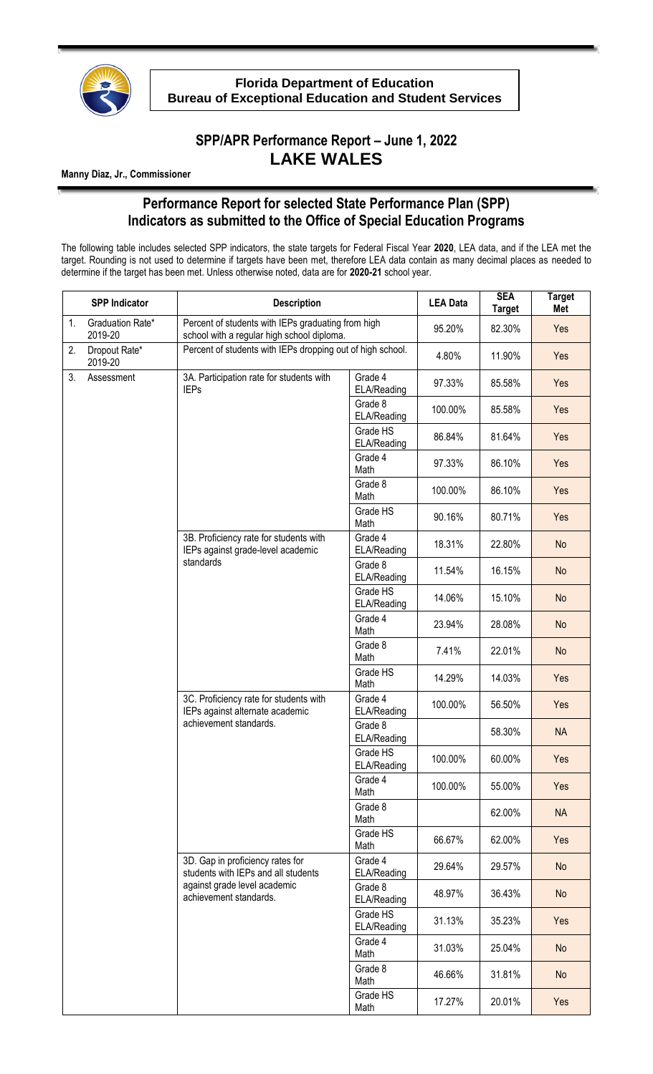

**Florida Department of Education Bureau of Exceptional Education and Student Services** 

## **SPP/APR Performance Report – June 1, 2022 LAKE WALES**

**Manny Diaz, Jr., Commissioner** 

## **Performance Report for selected State Performance Plan (SPP) Indicators as submitted to the Office of Special Education Programs**

The following table includes selected SPP indicators, the state targets for Federal Fiscal Year **2020**, LEA data, and if the LEA met the target. Rounding is not used to determine if targets have been met, therefore LEA data contain as many decimal places as needed to determine if the target has been met. Unless otherwise noted, data are for **2020-21** school year.

| <b>SPP Indicator</b> |                             | <b>Description</b>                                                                                                                |                         | <b>LEA Data</b> | <b>SEA</b><br><b>Target</b> | <b>Target</b><br>Met |
|----------------------|-----------------------------|-----------------------------------------------------------------------------------------------------------------------------------|-------------------------|-----------------|-----------------------------|----------------------|
| 1.                   | Graduation Rate*<br>2019-20 | Percent of students with IEPs graduating from high<br>school with a regular high school diploma.                                  |                         | 95.20%          | 82.30%                      | Yes                  |
| 2.                   | Dropout Rate*<br>2019-20    | Percent of students with IEPs dropping out of high school.                                                                        |                         | 4.80%           | 11.90%                      | Yes                  |
| 3.                   | Assessment                  | 3A. Participation rate for students with<br><b>IEPs</b>                                                                           | Grade 4<br>ELA/Reading  | 97.33%          | 85.58%                      | Yes                  |
|                      |                             |                                                                                                                                   | Grade 8<br>ELA/Reading  | 100.00%         | 85.58%                      | Yes                  |
|                      |                             |                                                                                                                                   | Grade HS<br>ELA/Reading | 86.84%          | 81.64%                      | Yes                  |
|                      |                             |                                                                                                                                   | Grade 4<br>Math         | 97.33%          | 86.10%                      | Yes                  |
|                      |                             |                                                                                                                                   | Grade 8<br>Math         | 100.00%         | 86.10%                      | Yes                  |
|                      |                             |                                                                                                                                   | Grade HS<br>Math        | 90.16%          | 80.71%                      | Yes                  |
|                      |                             | 3B. Proficiency rate for students with<br>IEPs against grade-level academic<br>standards                                          | Grade 4<br>ELA/Reading  | 18.31%          | 22.80%                      | <b>No</b>            |
|                      |                             |                                                                                                                                   | Grade 8<br>ELA/Reading  | 11.54%          | 16.15%                      | <b>No</b>            |
|                      |                             |                                                                                                                                   | Grade HS<br>ELA/Reading | 14.06%          | 15.10%                      | <b>No</b>            |
|                      |                             |                                                                                                                                   | Grade 4<br>Math         | 23.94%          | 28.08%                      | <b>No</b>            |
|                      |                             |                                                                                                                                   | Grade 8<br>Math         | 7.41%           | 22.01%                      | <b>No</b>            |
|                      |                             |                                                                                                                                   | Grade HS<br>Math        | 14.29%          | 14.03%                      | Yes                  |
|                      |                             | 3C. Proficiency rate for students with<br>IEPs against alternate academic<br>achievement standards.                               | Grade 4<br>ELA/Reading  | 100.00%         | 56.50%                      | Yes                  |
|                      |                             |                                                                                                                                   | Grade 8<br>ELA/Reading  |                 | 58.30%                      | <b>NA</b>            |
|                      |                             |                                                                                                                                   | Grade HS<br>ELA/Reading | 100.00%         | 60.00%                      | Yes                  |
|                      |                             |                                                                                                                                   | Grade 4<br>Math         | 100.00%         | 55.00%                      | Yes                  |
|                      |                             |                                                                                                                                   | Grade 8<br>Math         |                 | 62.00%                      | <b>NA</b>            |
|                      |                             |                                                                                                                                   | Grade HS<br>Math        | 66.67%          | 62.00%                      | Yes                  |
|                      |                             | 3D. Gap in proficiency rates for<br>students with IEPs and all students<br>against grade level academic<br>achievement standards. | Grade 4<br>ELA/Reading  | 29.64%          | 29.57%                      | <b>No</b>            |
|                      |                             |                                                                                                                                   | Grade 8<br>ELA/Reading  | 48.97%          | 36.43%                      | No                   |
|                      |                             |                                                                                                                                   | Grade HS<br>ELA/Reading | 31.13%          | 35.23%                      | Yes                  |
|                      |                             |                                                                                                                                   | Grade 4<br>Math         | 31.03%          | 25.04%                      | <b>No</b>            |
|                      |                             |                                                                                                                                   | Grade 8<br>Math         | 46.66%          | 31.81%                      | <b>No</b>            |
|                      |                             |                                                                                                                                   | Grade HS<br>Math        | 17.27%          | 20.01%                      | Yes                  |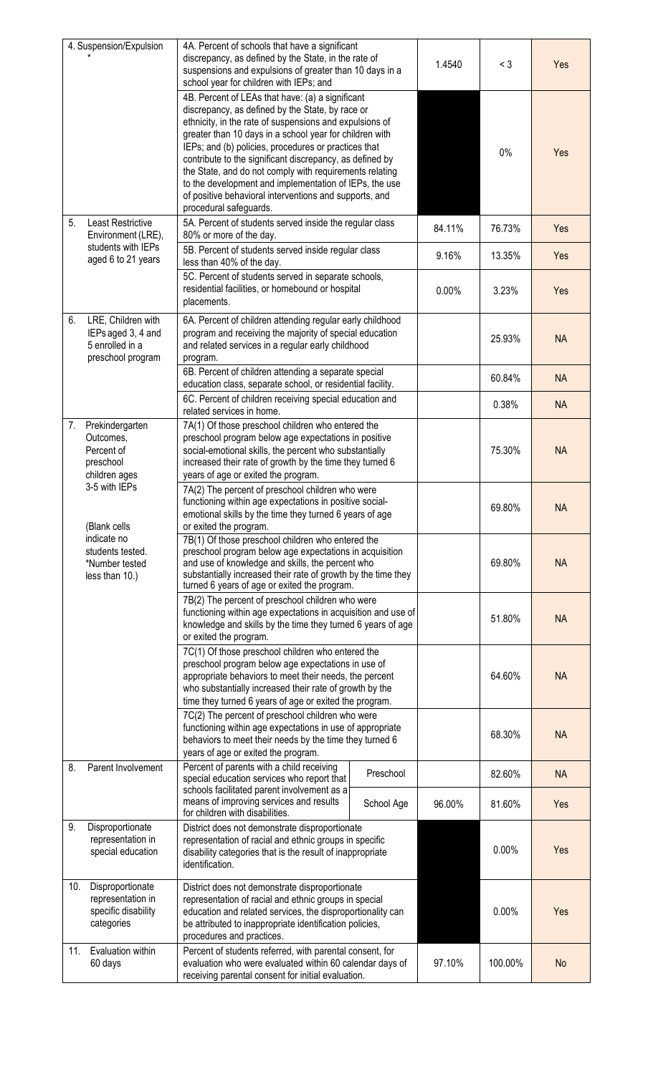| 4. Suspension/Expulsion                                                        |                                                                                                      | 4A. Percent of schools that have a significant<br>discrepancy, as defined by the State, in the rate of<br>suspensions and expulsions of greater than 10 days in a<br>school year for children with IEPs; and                                                                                                                                                                                                                                                                                                                                            |            | 1.4540 | $<$ 3   | Yes       |
|--------------------------------------------------------------------------------|------------------------------------------------------------------------------------------------------|---------------------------------------------------------------------------------------------------------------------------------------------------------------------------------------------------------------------------------------------------------------------------------------------------------------------------------------------------------------------------------------------------------------------------------------------------------------------------------------------------------------------------------------------------------|------------|--------|---------|-----------|
|                                                                                |                                                                                                      | 4B. Percent of LEAs that have: (a) a significant<br>discrepancy, as defined by the State, by race or<br>ethnicity, in the rate of suspensions and expulsions of<br>greater than 10 days in a school year for children with<br>IEPs; and (b) policies, procedures or practices that<br>contribute to the significant discrepancy, as defined by<br>the State, and do not comply with requirements relating<br>to the development and implementation of IEPs, the use<br>of positive behavioral interventions and supports, and<br>procedural safeguards. |            |        | 0%      | Yes       |
| 5.                                                                             | <b>Least Restrictive</b><br>Environment (LRE),<br>students with IEPs<br>aged 6 to 21 years           | 5A. Percent of students served inside the regular class<br>80% or more of the day.                                                                                                                                                                                                                                                                                                                                                                                                                                                                      |            | 84.11% | 76.73%  | Yes       |
|                                                                                |                                                                                                      | 5B. Percent of students served inside regular class<br>less than 40% of the day.                                                                                                                                                                                                                                                                                                                                                                                                                                                                        |            | 9.16%  | 13.35%  | Yes       |
|                                                                                |                                                                                                      | 5C. Percent of students served in separate schools,<br>residential facilities, or homebound or hospital<br>placements.                                                                                                                                                                                                                                                                                                                                                                                                                                  |            | 0.00%  | 3.23%   | Yes       |
| 6.                                                                             | LRE, Children with<br>IEPs aged 3, 4 and<br>5 enrolled in a<br>preschool program                     | 6A. Percent of children attending regular early childhood<br>program and receiving the majority of special education<br>and related services in a regular early childhood<br>program.                                                                                                                                                                                                                                                                                                                                                                   |            |        | 25.93%  | <b>NA</b> |
|                                                                                |                                                                                                      | 6B. Percent of children attending a separate special<br>education class, separate school, or residential facility.                                                                                                                                                                                                                                                                                                                                                                                                                                      |            |        | 60.84%  | <b>NA</b> |
|                                                                                |                                                                                                      | 6C. Percent of children receiving special education and<br>related services in home.                                                                                                                                                                                                                                                                                                                                                                                                                                                                    |            |        | 0.38%   | <b>NA</b> |
| 7.<br>Prekindergarten<br>Outcomes,<br>Percent of<br>preschool<br>children ages |                                                                                                      | 7A(1) Of those preschool children who entered the<br>preschool program below age expectations in positive<br>social-emotional skills, the percent who substantially<br>increased their rate of growth by the time they turned 6<br>years of age or exited the program.                                                                                                                                                                                                                                                                                  |            |        | 75.30%  | <b>NA</b> |
|                                                                                | 3-5 with IEPs<br>(Blank cells<br>indicate no<br>students tested.<br>*Number tested<br>less than 10.) | 7A(2) The percent of preschool children who were<br>functioning within age expectations in positive social-<br>emotional skills by the time they turned 6 years of age<br>or exited the program.                                                                                                                                                                                                                                                                                                                                                        |            |        | 69.80%  | <b>NA</b> |
|                                                                                |                                                                                                      | 7B(1) Of those preschool children who entered the<br>preschool program below age expectations in acquisition<br>and use of knowledge and skills, the percent who<br>substantially increased their rate of growth by the time they<br>turned 6 years of age or exited the program.                                                                                                                                                                                                                                                                       |            |        | 69.80%  | <b>NA</b> |
|                                                                                |                                                                                                      | 7B(2) The percent of preschool children who were<br>functioning within age expectations in acquisition and use of<br>knowledge and skills by the time they turned 6 years of age<br>or exited the program.                                                                                                                                                                                                                                                                                                                                              |            |        | 51.80%  | <b>NA</b> |
|                                                                                |                                                                                                      | 7C(1) Of those preschool children who entered the<br>preschool program below age expectations in use of<br>appropriate behaviors to meet their needs, the percent<br>who substantially increased their rate of growth by the<br>time they turned 6 years of age or exited the program.                                                                                                                                                                                                                                                                  |            |        | 64.60%  | <b>NA</b> |
|                                                                                |                                                                                                      | 7C(2) The percent of preschool children who were<br>functioning within age expectations in use of appropriate<br>behaviors to meet their needs by the time they turned 6<br>years of age or exited the program.                                                                                                                                                                                                                                                                                                                                         |            |        | 68.30%  | <b>NA</b> |
| 8.                                                                             | Parent Involvement                                                                                   | Percent of parents with a child receiving<br>special education services who report that<br>schools facilitated parent involvement as a<br>means of improving services and results<br>for children with disabilities.                                                                                                                                                                                                                                                                                                                                    | Preschool  |        | 82.60%  | <b>NA</b> |
|                                                                                |                                                                                                      |                                                                                                                                                                                                                                                                                                                                                                                                                                                                                                                                                         | School Age | 96.00% | 81.60%  | Yes       |
| 9.                                                                             | Disproportionate<br>representation in<br>special education                                           | District does not demonstrate disproportionate<br>representation of racial and ethnic groups in specific<br>disability categories that is the result of inappropriate<br>identification.                                                                                                                                                                                                                                                                                                                                                                |            |        | 0.00%   | Yes       |
| 10.                                                                            | Disproportionate<br>representation in<br>specific disability<br>categories                           | District does not demonstrate disproportionate<br>representation of racial and ethnic groups in special<br>education and related services, the disproportionality can<br>be attributed to inappropriate identification policies,<br>procedures and practices.                                                                                                                                                                                                                                                                                           |            |        | 0.00%   | Yes       |
|                                                                                | 11. Evaluation within<br>60 days                                                                     | Percent of students referred, with parental consent, for<br>evaluation who were evaluated within 60 calendar days of<br>receiving parental consent for initial evaluation.                                                                                                                                                                                                                                                                                                                                                                              |            | 97.10% | 100.00% | No        |